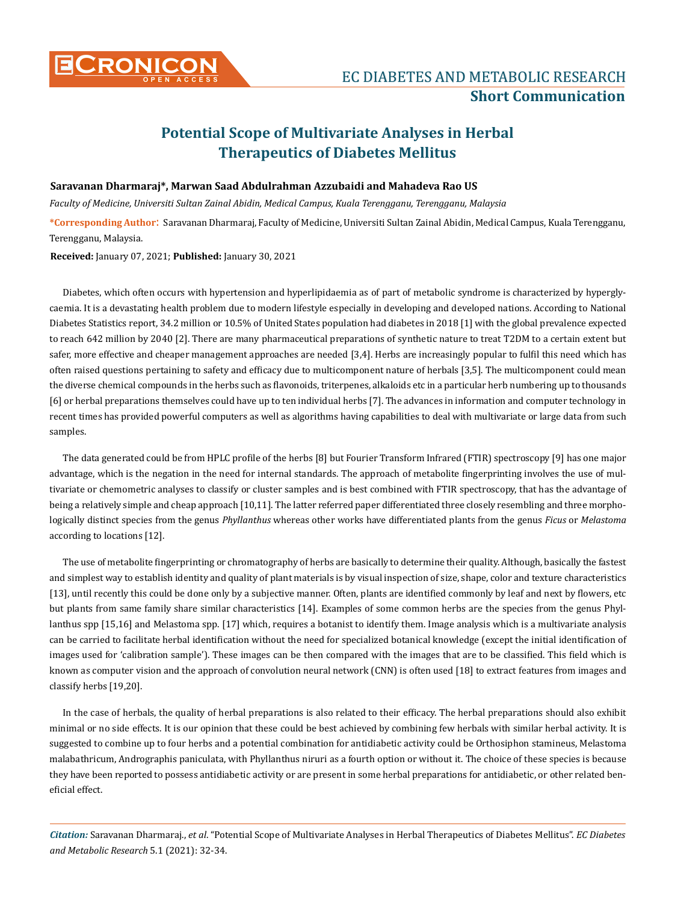

## **Potential Scope of Multivariate Analyses in Herbal Therapeutics of Diabetes Mellitus**

## **Saravanan Dharmaraj\*, Marwan Saad Abdulrahman Azzubaidi and Mahadeva Rao US**

*Faculty of Medicine, Universiti Sultan Zainal Abidin, Medical Campus, Kuala Terengganu, Terengganu, Malaysia*

**\*Corresponding Author**: Saravanan Dharmaraj, Faculty of Medicine, Universiti Sultan Zainal Abidin, Medical Campus, Kuala Terengganu, Terengganu, Malaysia.

**Received:** January 07, 2021; **Published:** January 30, 2021

Diabetes, which often occurs with hypertension and hyperlipidaemia as of part of metabolic syndrome is characterized by hyperglycaemia. It is a devastating health problem due to modern lifestyle especially in developing and developed nations. According to National Diabetes Statistics report, 34.2 million or 10.5% of United States population had diabetes in 2018 [1] with the global prevalence expected to reach 642 million by 2040 [2]. There are many pharmaceutical preparations of synthetic nature to treat T2DM to a certain extent but safer, more effective and cheaper management approaches are needed [3,4]. Herbs are increasingly popular to fulfil this need which has often raised questions pertaining to safety and efficacy due to multicomponent nature of herbals [3,5]. The multicomponent could mean the diverse chemical compounds in the herbs such as flavonoids, triterpenes, alkaloids etc in a particular herb numbering up to thousands [6] or herbal preparations themselves could have up to ten individual herbs [7]. The advances in information and computer technology in recent times has provided powerful computers as well as algorithms having capabilities to deal with multivariate or large data from such samples.

The data generated could be from HPLC profile of the herbs [8] but Fourier Transform Infrared (FTIR) spectroscopy [9] has one major advantage, which is the negation in the need for internal standards. The approach of metabolite fingerprinting involves the use of multivariate or chemometric analyses to classify or cluster samples and is best combined with FTIR spectroscopy, that has the advantage of being a relatively simple and cheap approach [10,11]. The latter referred paper differentiated three closely resembling and three morphologically distinct species from the genus *Phyllanthus* whereas other works have differentiated plants from the genus *Ficus* or *Melastoma*  according to locations [12].

The use of metabolite fingerprinting or chromatography of herbs are basically to determine their quality. Although, basically the fastest and simplest way to establish identity and quality of plant materials is by visual inspection of size, shape, color and texture characteristics [13], until recently this could be done only by a subjective manner. Often, plants are identified commonly by leaf and next by flowers, etc but plants from same family share similar characteristics [14]. Examples of some common herbs are the species from the genus Phyllanthus spp [15,16] and Melastoma spp. [17] which, requires a botanist to identify them. Image analysis which is a multivariate analysis can be carried to facilitate herbal identification without the need for specialized botanical knowledge (except the initial identification of images used for 'calibration sample'). These images can be then compared with the images that are to be classified. This field which is known as computer vision and the approach of convolution neural network (CNN) is often used [18] to extract features from images and classify herbs [19,20].

In the case of herbals, the quality of herbal preparations is also related to their efficacy. The herbal preparations should also exhibit minimal or no side effects. It is our opinion that these could be best achieved by combining few herbals with similar herbal activity. It is suggested to combine up to four herbs and a potential combination for antidiabetic activity could be Orthosiphon stamineus, Melastoma malabathricum, Andrographis paniculata, with Phyllanthus niruri as a fourth option or without it. The choice of these species is because they have been reported to possess antidiabetic activity or are present in some herbal preparations for antidiabetic, or other related beneficial effect.

*Citation:* Saravanan Dharmaraj., *et al*. "Potential Scope of Multivariate Analyses in Herbal Therapeutics of Diabetes Mellitus". *EC Diabetes and Metabolic Research* 5.1 (2021): 32-34.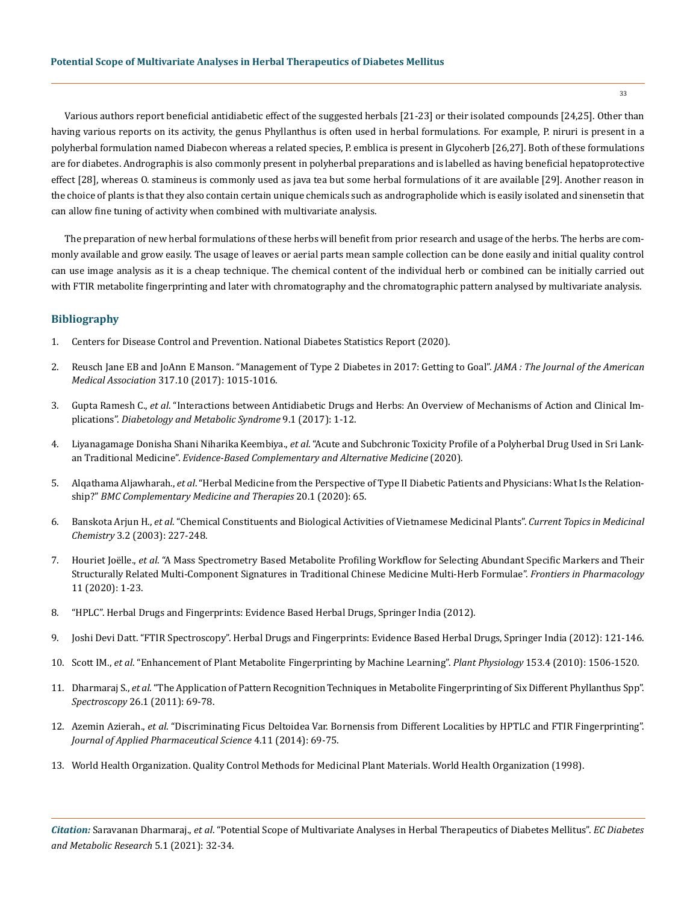Various authors report beneficial antidiabetic effect of the suggested herbals [21-23] or their isolated compounds [24,25]. Other than having various reports on its activity, the genus Phyllanthus is often used in herbal formulations. For example, P. niruri is present in a polyherbal formulation named Diabecon whereas a related species, P. emblica is present in Glycoherb [26,27]. Both of these formulations are for diabetes. Andrographis is also commonly present in polyherbal preparations and is labelled as having beneficial hepatoprotective effect [28], whereas O. stamineus is commonly used as java tea but some herbal formulations of it are available [29]. Another reason in the choice of plants is that they also contain certain unique chemicals such as andrographolide which is easily isolated and sinensetin that can allow fine tuning of activity when combined with multivariate analysis.

The preparation of new herbal formulations of these herbs will benefit from prior research and usage of the herbs. The herbs are commonly available and grow easily. The usage of leaves or aerial parts mean sample collection can be done easily and initial quality control can use image analysis as it is a cheap technique. The chemical content of the individual herb or combined can be initially carried out with FTIR metabolite fingerprinting and later with chromatography and the chromatographic pattern analysed by multivariate analysis.

## **Bibliography**

- 1. [Centers for Disease Control and Prevention. National Diabetes Statistics Report \(2020\).](https://www.cdc.gov/diabetes/data/statistics-report/index.html)
- 2. [Reusch Jane EB and JoAnn E Manson. "Management of Type 2 Diabetes in 2017: Getting to Goal".](https://pubmed.ncbi.nlm.nih.gov/28249081/) *JAMA : The Journal of the American Medical Association* [317.10 \(2017\): 1015-1016.](https://pubmed.ncbi.nlm.nih.gov/28249081/)
- 3. Gupta Ramesh C., *et al*[. "Interactions between Antidiabetic Drugs and Herbs: An Overview of Mechanisms of Action and Clinical Im](https://www.ncbi.nlm.nih.gov/pmc/articles/PMC5527439/)plications". *[Diabetology and Metabolic Syndrome](https://www.ncbi.nlm.nih.gov/pmc/articles/PMC5527439/)* 9.1 (2017): 1-12.
- 4. Liyanagamage Donisha Shani Niharika Keembiya., *et al*[. "Acute and Subchronic Toxicity Profile of a Polyherbal Drug Used in Sri Lank](https://www.hindawi.com/journals/ecam/2020/2189189/)an Traditional Medicine". *[Evidence-Based Complementary and Alternative Medicine](https://www.hindawi.com/journals/ecam/2020/2189189/)* (2020).
- 5. Alqathama Aljawharah., *et al*[. "Herbal Medicine from the Perspective of Type II Diabetic Patients and Physicians: What Is the Relation](https://www.ncbi.nlm.nih.gov/pmc/articles/PMC7076897/)ship?" *[BMC Complementary Medicine and Therapies](https://www.ncbi.nlm.nih.gov/pmc/articles/PMC7076897/)* 20.1 (2020): 65.
- 6. Banskota Arjun H., *et al*[. "Chemical Constituents and Biological Activities of Vietnamese Medicinal Plants".](https://pubmed.ncbi.nlm.nih.gov/12570775/) *Current Topics in Medicinal Chemistry* [3.2 \(2003\): 227-248.](https://pubmed.ncbi.nlm.nih.gov/12570775/)
- 7. Houriet Joëlle., *et al*[. "A Mass Spectrometry Based Metabolite Profiling Workflow for Selecting Abundant Specific Markers and Their](https://www.frontiersin.org/articles/10.3389/fphar.2020.578346/full)  [Structurally Related Multi-Component Signatures in Traditional Chinese Medicine Multi-Herb Formulae".](https://www.frontiersin.org/articles/10.3389/fphar.2020.578346/full) *Frontiers in Pharmacology* [11 \(2020\): 1-23.](https://www.frontiersin.org/articles/10.3389/fphar.2020.578346/full)
- 8. ["HPLC". Herbal Drugs and Fingerprints: Evidence Based Herbal Drugs, Springer India \(2012\).](https://www.springer.com/gp/book/9788132208037)
- 9. [Joshi Devi Datt. "FTIR Spectroscopy". Herbal Drugs and Fingerprints: Evidence Based Herbal Drugs, Springer India \(2012\): 121-146.](https://www.springer.com/gp/book/9788132208037)
- 10. Scott IM., *et al*[. "Enhancement of Plant Metabolite Fingerprinting by Machine Learning".](http://www.plantphysiol.org/content/153/4/1506) *Plant Physiology* 153.4 (2010): 1506-1520.
- 11. Dharmaraj S., *et al*[. "The Application of Pattern Recognition Techniques in Metabolite Fingerprinting of Six Different Phyllanthus Spp".](https://www.hindawi.com/journals/jspec/2011/980109/)  *Spectroscopy* [26.1 \(2011\): 69-78.](https://www.hindawi.com/journals/jspec/2011/980109/)
- 12. Azemin Azierah., *et al*[. "Discriminating Ficus Deltoidea Var. Bornensis from Different Localities by HPTLC and FTIR Fingerprinting".](https://www.researchgate.net/publication/309462244_Discriminating_Ficus_deltoidea_var_bornensis_from_Different_Localities_by_HPTLC_and_FTIR_Fingerprinting)  *[Journal of Applied Pharmaceutical Science](https://www.researchgate.net/publication/309462244_Discriminating_Ficus_deltoidea_var_bornensis_from_Different_Localities_by_HPTLC_and_FTIR_Fingerprinting)* 4.11 (2014): 69-75.
- 13. [World Health Organization. Quality Control Methods for Medicinal Plant Materials. World Health Organization \(1998\).](https://apps.who.int/iris/handle/10665/41986)

*Citation:* Saravanan Dharmaraj., *et al*. "Potential Scope of Multivariate Analyses in Herbal Therapeutics of Diabetes Mellitus". *EC Diabetes and Metabolic Research* 5.1 (2021): 32-34.

33